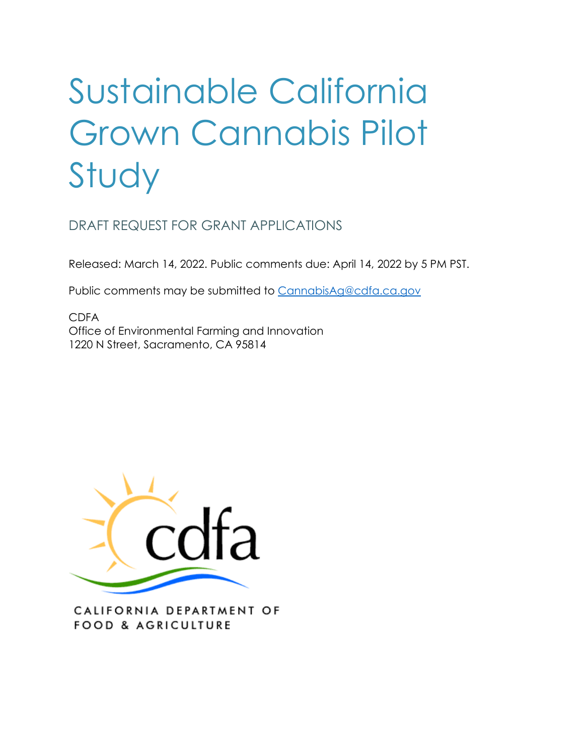# Sustainable California Grown Cannabis Pilot Study

DRAFT REQUEST FOR GRANT APPLICATIONS

Released: March 14, 2022. Public comments due: April 14, 2022 by 5 PM PST.

Public comments may be submitted to [CannabisAg@cdfa.ca.gov](mailto:CannabisAg@cdfa.ca.gov) 

 Office of Environmental Farming and Innovation CDFA 1220 N Street, Sacramento, CA 95814



CALIFORNIA DEPARTMENT OF FOOD & AGRICULTURE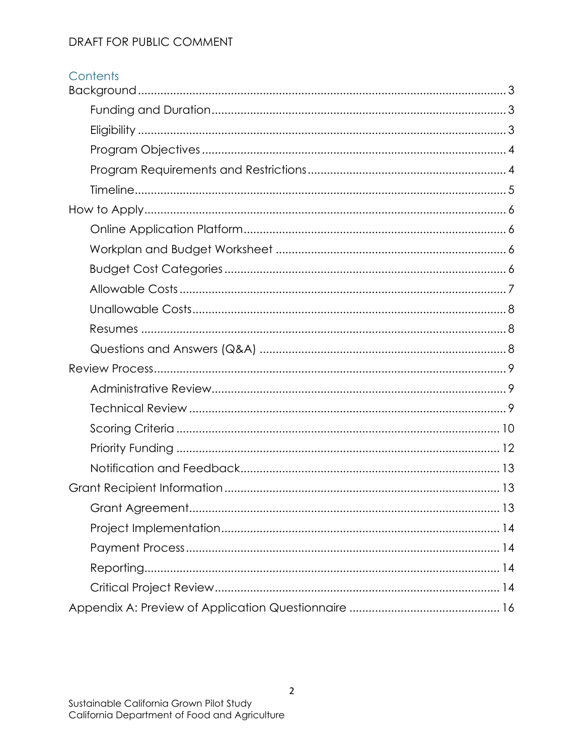# Contents

| 13 |
|----|
|    |
|    |
|    |
|    |
|    |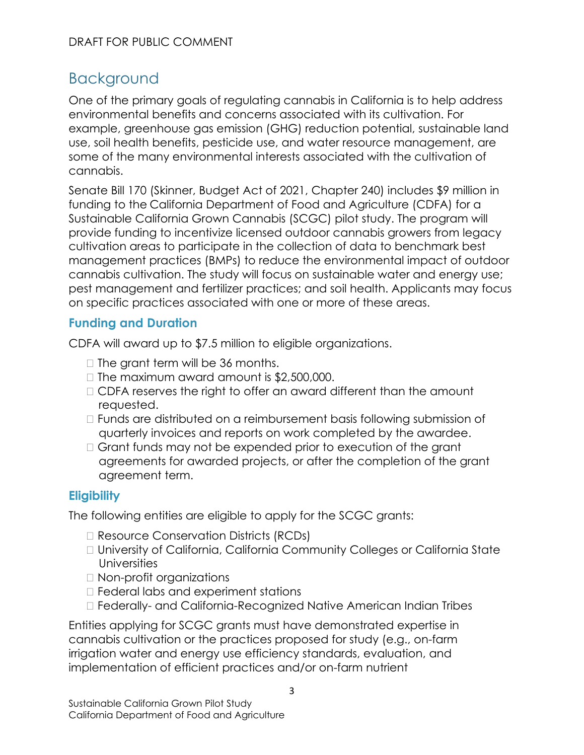# <span id="page-2-0"></span>Background

cannabis. One of the primary goals of regulating cannabis in California is to help address environmental benefits and concerns associated with its cultivation. For example, greenhouse gas emission (GHG) reduction potential, sustainable land use, soil health benefits, pesticide use, and water resource management, are some of the many environmental interests associated with the cultivation of

 Sustainable California Grown Cannabis (SCGC) pilot study. The program will Senate Bill 170 (Skinner, Budget Act of 2021, Chapter 240) includes \$9 million in funding to the California Department of Food and Agriculture (CDFA) for a provide funding to incentivize licensed outdoor cannabis growers from legacy cultivation areas to participate in the collection of data to benchmark best management practices (BMPs) to reduce the environmental impact of outdoor cannabis cultivation. The study will focus on sustainable water and energy use; pest management and fertilizer practices; and soil health. Applicants may focus on specific practices associated with one or more of these areas.

### <span id="page-2-1"></span>**Funding and Duration**

CDFA will award up to \$7.5 million to eligible organizations.

- $\Box$  The grant term will be 36 months.
- $\Box$  The maximum award amount is \$2,500,000.
- CDFA reserves the right to offer an award different than the amount requested.
- Funds are distributed on a reimbursement basis following submission of quarterly invoices and reports on work completed by the awardee.
- □ Grant funds may not be expended prior to execution of the grant agreements for awarded projects, or after the completion of the grant agreement term.

# <span id="page-2-2"></span>**Eligibility**

The following entities are eligible to apply for the SCGC grants:

- □ Resource Conservation Districts (RCDs)
- University of California, California Community Colleges or California State **Universities**
- Non-profit organizations
- □ Federal labs and experiment stations
- Federally- and California-Recognized Native American Indian Tribes

Entities applying for SCGC grants must have demonstrated expertise in cannabis cultivation or the practices proposed for study (e.g., on-farm irrigation water and energy use efficiency standards, evaluation, and implementation of efficient practices and/or on-farm nutrient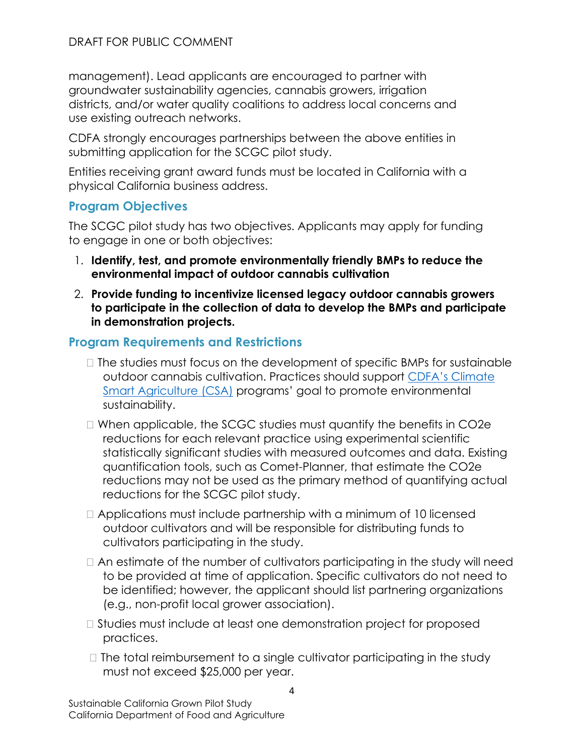management). Lead applicants are encouraged to partner with groundwater sustainability agencies, cannabis growers, irrigation districts, and/or water quality coalitions to address local concerns and use existing outreach networks.

CDFA strongly encourages partnerships between the above entities in submitting application for the SCGC pilot study.

Entities receiving grant award funds must be located in California with a physical California business address.

### <span id="page-3-0"></span>**Program Objectives**

 The SCGC pilot study has two objectives. Applicants may apply for funding to engage in one or both objectives:

- 1. **Identify, test, and promote environmentally friendly BMPs to reduce the environmental impact of outdoor cannabis cultivation**
- 2. **Provide funding to incentivize licensed legacy outdoor cannabis growers to participate in the collection of data to develop the BMPs and participate in demonstration projects.**

### <span id="page-3-1"></span>**Program Requirements and Restrictions**

- $\Box$  The studies must focus on the development of specific BMPs for sustainable outdoor cannabis cultivation. Practices should support [CDFA's Climate](https://www.cdfa.ca.gov/oefi/)  [Smart Agriculture \(CSA\)](https://www.cdfa.ca.gov/oefi/) programs' goal to promote environmental sustainability.
- When applicable, the SCGC studies must quantify the benefits in CO2e reductions for each relevant practice using experimental scientific statistically significant studies with measured outcomes and data. Existing quantification tools, such as Comet-Planner, that estimate the CO2e reductions may not be used as the primary method of quantifying actual reductions for the SCGC pilot study.
- $\Box$  Applications must include partnership with a minimum of 10 licensed outdoor cultivators and will be responsible for distributing funds to cultivators participating in the study.
- be identified; however, the applicant should list partnering organizations  $\Box$  An estimate of the number of cultivators participating in the study will need to be provided at time of application. Specific cultivators do not need to (e.g., non-profit local grower association).
- □ Studies must include at least one demonstration project for proposed practices.
- $\Box$  The total reimbursement to a single cultivator participating in the study must not exceed \$25,000 per year.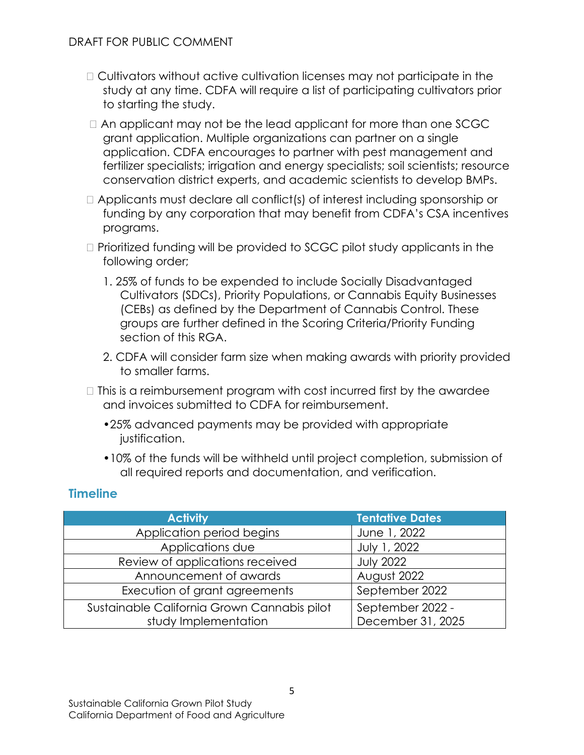- Cultivators without active cultivation licenses may not participate in the study at any time. CDFA will require a list of participating cultivators prior to starting the study.
- $\Box$  An applicant may not be the lead applicant for more than one SCGC grant application. Multiple organizations can partner on a single application. CDFA encourages to partner with pest management and fertilizer specialists; irrigation and energy specialists; soil scientists; resource conservation district experts, and academic scientists to develop BMPs.
- Applicants must declare all conflict(s) of interest including sponsorship or funding by any corporation that may benefit from CDFA's CSA incentives programs.
- Prioritized funding will be provided to SCGC pilot study applicants in the following order;
	- 1. 25% of funds to be expended to include Socially Disadvantaged Cultivators (SDCs), Priority Populations, or Cannabis Equity Businesses (CEBs) as defined by the Department of Cannabis Control. These groups are further defined in the Scoring Criteria/Priority Funding section of this RGA.
	- to smaller farms. 2. CDFA will consider farm size when making awards with priority provided
- $\Box$  This is a reimbursement program with cost incurred first by the awardee and invoices submitted to CDFA for reimbursement.
	- •25% advanced payments may be provided with appropriate justification.
	- •10% of the funds will be withheld until project completion, submission of all required reports and documentation, and verification.

### <span id="page-4-0"></span>**Timeline**

| <b>Activity</b>                             | <b>Tentative Dates</b> |
|---------------------------------------------|------------------------|
| Application period begins                   | June 1, 2022           |
| Applications due                            | July 1, 2022           |
| Review of applications received             | <b>July 2022</b>       |
| Announcement of awards                      | August 2022            |
| Execution of grant agreements               | September 2022         |
| Sustainable California Grown Cannabis pilot | September 2022 -       |
| study Implementation                        | December 31, 2025      |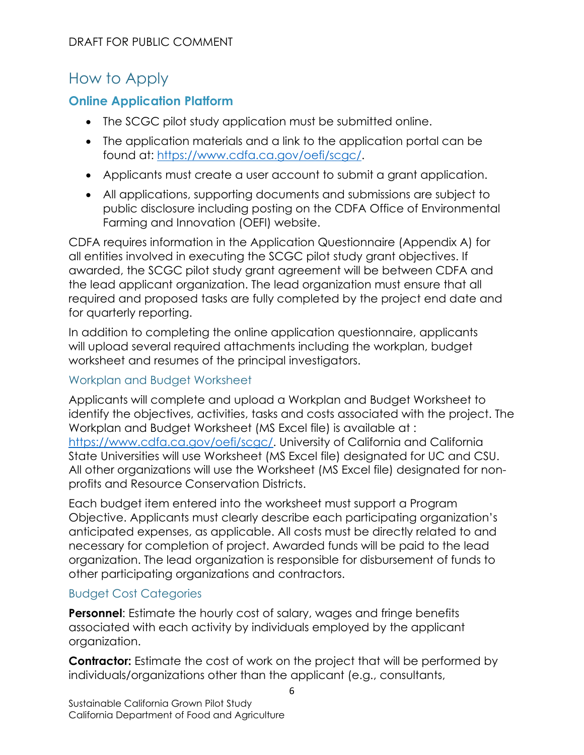# <span id="page-5-0"></span>How to Apply

# <span id="page-5-1"></span>**Online Application Platform**

- The SCGC pilot study application must be submitted online.
- The application materials and a link to the application portal can be found at: [https://www.cdfa.ca.gov/oefi/scgc/.](https://www.cdfa.ca.gov/oefi/scgc/)
- Applicants must create a user account to submit a grant application.
- All applications, supporting documents and submissions are subject to public disclosure including posting on the CDFA Office of Environmental Farming and Innovation (OEFI) website.

 all entities involved in executing the SCGC pilot study grant objectives. If awarded, the SCGC pilot study grant agreement will be between CDFA and CDFA requires information in the Application Questionnaire (Appendix A) for the lead applicant organization. The lead organization must ensure that all required and proposed tasks are fully completed by the project end date and for quarterly reporting.

In addition to completing the online application questionnaire, applicants will upload several required attachments including the workplan, budget worksheet and resumes of the principal investigators.

### <span id="page-5-2"></span>Workplan and Budget Worksheet

Applicants will complete and upload a Workplan and Budget Worksheet to identify the objectives, activities, tasks and costs associated with the project. The Workplan and Budget Worksheet (MS Excel file) is available at : [https://www.cdfa.ca.gov/oefi/scgc/.](https://www.cdfa.ca.gov/oefi/scgc/) University of California and California State Universities will use Worksheet (MS Excel file) designated for UC and CSU. All other organizations will use the Worksheet (MS Excel file) designated for nonprofits and Resource Conservation Districts.

 Each budget item entered into the worksheet must support a Program Objective. Applicants must clearly describe each participating organization's anticipated expenses, as applicable. All costs must be directly related to and necessary for completion of project. Awarded funds will be paid to the lead organization. The lead organization is responsible for disbursement of funds to other participating organizations and contractors.

### <span id="page-5-3"></span>Budget Cost Categories

 associated with each activity by individuals employed by the applicant **Personnel:** Estimate the hourly cost of salary, wages and fringe benefits organization.

**Contractor:** Estimate the cost of work on the project that will be performed by individuals/organizations other than the applicant (e.g., consultants,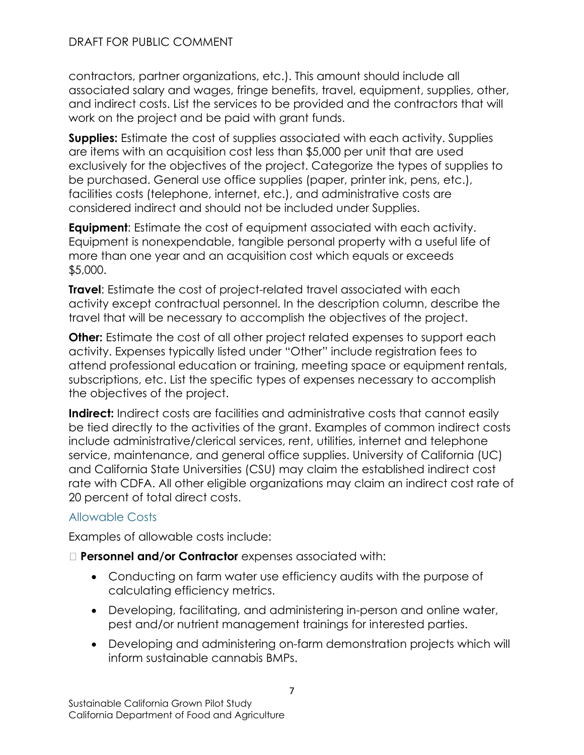associated salary and wages, fringe benefits, travel, equipment, supplies, other, contractors, partner organizations, etc.). This amount should include all and indirect costs. List the services to be provided and the contractors that will work on the project and be paid with grant funds.

**Supplies:** Estimate the cost of supplies associated with each activity. Supplies are items with an acquisition cost less than \$5,000 per unit that are used exclusively for the objectives of the project. Categorize the types of supplies to be purchased. General use office supplies (paper, printer ink, pens, etc.), facilities costs (telephone, internet, etc.), and administrative costs are considered indirect and should not be included under Supplies.

**Equipment:** Estimate the cost of equipment associated with each activity. Equipment is nonexpendable, tangible personal property with a useful life of more than one year and an acquisition cost which equals or exceeds \$5,000.

**Travel:** Estimate the cost of project-related travel associated with each activity except contractual personnel. In the description column, describe the travel that will be necessary to accomplish the objectives of the project.

**Other:** Estimate the cost of all other project related expenses to support each activity. Expenses typically listed under "Other" include registration fees to attend professional education or training, meeting space or equipment rentals, subscriptions, etc. List the specific types of expenses necessary to accomplish the objectives of the project.

 be tied directly to the activities of the grant. Examples of common indirect costs service, maintenance, and general office supplies. University of California (UC) **Indirect:** Indirect costs are facilities and administrative costs that cannot easily include administrative/clerical services, rent, utilities, internet and telephone and California State Universities (CSU) may claim the established indirect cost rate with CDFA. All other eligible organizations may claim an indirect cost rate of 20 percent of total direct costs.

### <span id="page-6-0"></span>Allowable Costs

Examples of allowable costs include:

### **Personnel and/or Contractor** expenses associated with:

- • Conducting on farm water use efficiency audits with the purpose of calculating efficiency metrics.
- Developing, facilitating, and administering in-person and online water, pest and/or nutrient management trainings for interested parties.
- Developing and administering on-farm demonstration projects which will inform sustainable cannabis BMPs.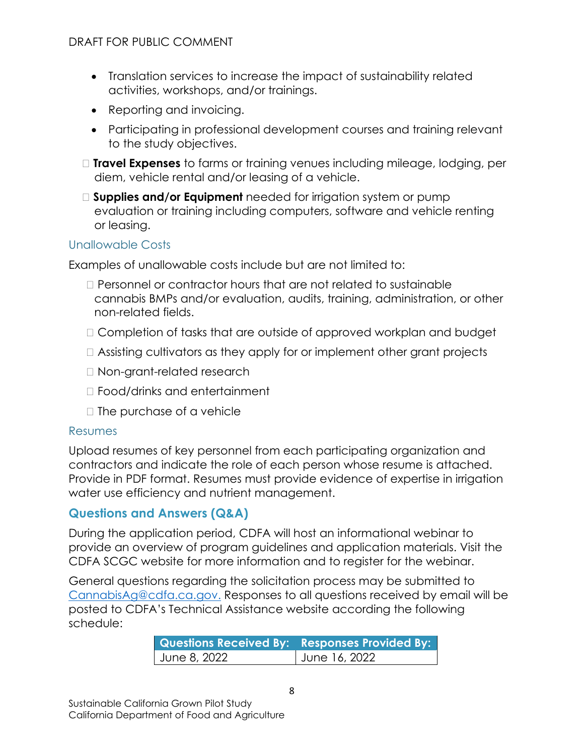- Translation services to increase the impact of sustainability related activities, workshops, and/or trainings.
- Reporting and invoicing.
- Participating in professional development courses and training relevant to the study objectives.
- **Travel Expenses** to farms or training venues including mileage, lodging, per diem, vehicle rental and/or leasing of a vehicle.
- **Supplies and/or Equipment** needed for irrigation system or pump evaluation or training including computers, software and vehicle renting or leasing.

### <span id="page-7-0"></span>Unallowable Costs

Examples of unallowable costs include but are not limited to:

- $\Box$  Personnel or contractor hours that are not related to sustainable cannabis BMPs and/or evaluation, audits, training, administration, or other non-related fields.
- □ Completion of tasks that are outside of approved workplan and budget
- Assisting cultivators as they apply for or implement other grant projects
- □ Non-grant-related research
- Food/drinks and entertainment
- $\Box$  The purchase of a vehicle

### <span id="page-7-1"></span>Resumes

Upload resumes of key personnel from each participating organization and contractors and indicate the role of each person whose resume is attached. Provide in PDF format. Resumes must provide evidence of expertise in irrigation water use efficiency and nutrient management.

### <span id="page-7-2"></span>**Questions and Answers (Q&A)**

During the application period, CDFA will host an informational webinar to provide an overview of program guidelines and application materials. Visit the CDFA SCGC website for more information and to register for the webinar.

General questions regarding the solicitation process may be submitted to [CannabisAg@cdfa.ca.gov.](mailto:CannabisAg@cdfa.ca.gov) Responses to all questions received by email will be posted to CDFA's Technical Assistance website according the following schedule:

| <b>Questions Received By: Responses Provided By:</b> |               |  |
|------------------------------------------------------|---------------|--|
| June 8, 2022                                         | June 16, 2022 |  |
|                                                      |               |  |
|                                                      |               |  |
|                                                      |               |  |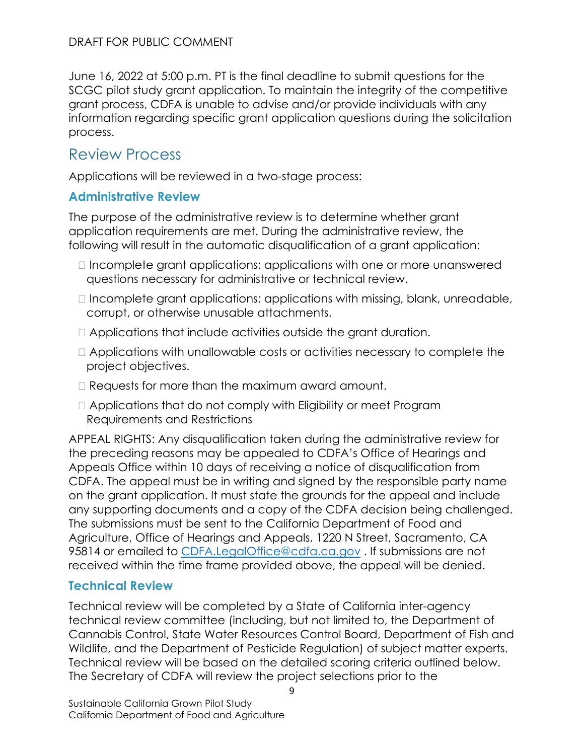June 16, 2022 at 5:00 p.m. PT is the final deadline to submit questions for the SCGC pilot study grant application. To maintain the integrity of the competitive grant process, CDFA is unable to advise and/or provide individuals with any information regarding specific grant application questions during the solicitation process.

# <span id="page-8-0"></span>Review Process

Applications will be reviewed in a two-stage process:

### <span id="page-8-1"></span>**Administrative Review**

The purpose of the administrative review is to determine whether grant application requirements are met. During the administrative review, the following will result in the automatic disqualification of a grant application:

- $\Box$  Incomplete grant applications: applications with one or more unanswered questions necessary for administrative or technical review.
- $\Box$  Incomplete grant applications: applications with missing, blank, unreadable, corrupt, or otherwise unusable attachments.
- Applications that include activities outside the grant duration.
- Applications with unallowable costs or activities necessary to complete the project objectives.
- □ Requests for more than the maximum award amount.
- Applications that do not comply with Eligibility or meet Program Requirements and Restrictions

 the preceding reasons may be appealed to CDFA's Office of Hearings and APPEAL RIGHTS: Any disqualification taken during the administrative review for Appeals Office within 10 days of receiving a notice of disqualification from CDFA. The appeal must be in writing and signed by the responsible party name on the grant application. It must state the grounds for the appeal and include any supporting documents and a copy of the CDFA decision being challenged. The submissions must be sent to the California Department of Food and Agriculture, Office of Hearings and Appeals, 1220 N Street, Sacramento, CA 95814 or emailed to CDFA.LegalOffice@cdfa.ca.gov. If submissions are not received within the time frame provided above, the appeal will be denied.

### <span id="page-8-2"></span>**Technical Review**

 Technical review will be based on the detailed scoring criteria outlined below. Technical review will be completed by a State of California inter-agency technical review committee (including, but not limited to, the Department of Cannabis Control, State Water Resources Control Board, Department of Fish and Wildlife, and the Department of Pesticide Regulation) of subject matter experts. The Secretary of CDFA will review the project selections prior to the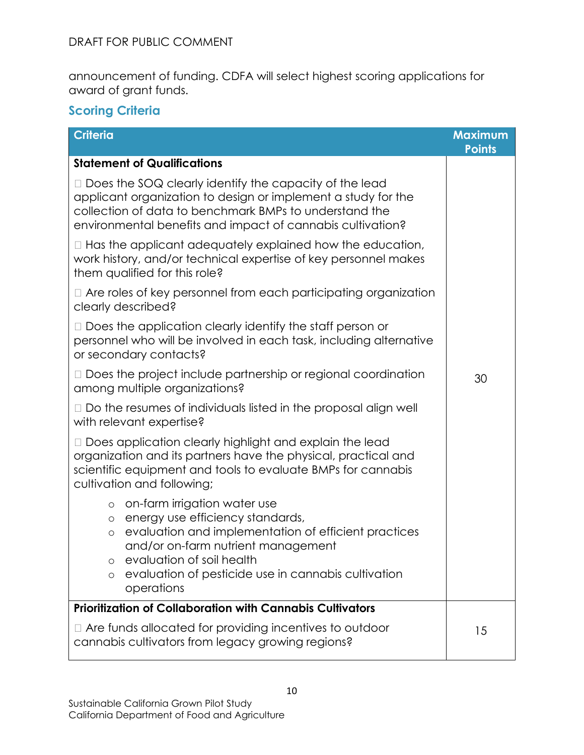announcement of funding. CDFA will select highest scoring applications for award of grant funds.

# <span id="page-9-0"></span>**Scoring Criteria**

| <b>Criteria</b>                                                                                                                                                                                                                                                                                                | <b>Maximum</b><br><b>Points</b> |  |
|----------------------------------------------------------------------------------------------------------------------------------------------------------------------------------------------------------------------------------------------------------------------------------------------------------------|---------------------------------|--|
| <b>Statement of Qualifications</b>                                                                                                                                                                                                                                                                             |                                 |  |
| $\Box$ Does the SOQ clearly identify the capacity of the lead<br>applicant organization to design or implement a study for the<br>collection of data to benchmark BMPs to understand the<br>environmental benefits and impact of cannabis cultivation?                                                         |                                 |  |
| $\Box$ Has the applicant adequately explained how the education,<br>work history, and/or technical expertise of key personnel makes<br>them qualified for this role?                                                                                                                                           |                                 |  |
| $\Box$ Are roles of key personnel from each participating organization<br>clearly described?                                                                                                                                                                                                                   |                                 |  |
| $\Box$ Does the application clearly identify the staff person or<br>personnel who will be involved in each task, including alternative<br>or secondary contacts?                                                                                                                                               |                                 |  |
| $\Box$ Does the project include partnership or regional coordination<br>among multiple organizations?                                                                                                                                                                                                          | 30                              |  |
| $\Box$ Do the resumes of individuals listed in the proposal align well<br>with relevant expertise?                                                                                                                                                                                                             |                                 |  |
| □ Does application clearly highlight and explain the lead<br>organization and its partners have the physical, practical and<br>scientific equipment and tools to evaluate BMPs for cannabis<br>cultivation and following;                                                                                      |                                 |  |
| o on-farm irrigation water use<br>energy use efficiency standards,<br>$\circ$<br>evaluation and implementation of efficient practices<br>$\circ$<br>and/or on-farm nutrient management<br>evaluation of soil health<br>$\circ$<br>evaluation of pesticide use in cannabis cultivation<br>$\circ$<br>operations |                                 |  |
| <b>Prioritization of Collaboration with Cannabis Cultivators</b>                                                                                                                                                                                                                                               |                                 |  |
| Are funds allocated for providing incentives to outdoor<br>cannabis cultivators from legacy growing regions?                                                                                                                                                                                                   | 15                              |  |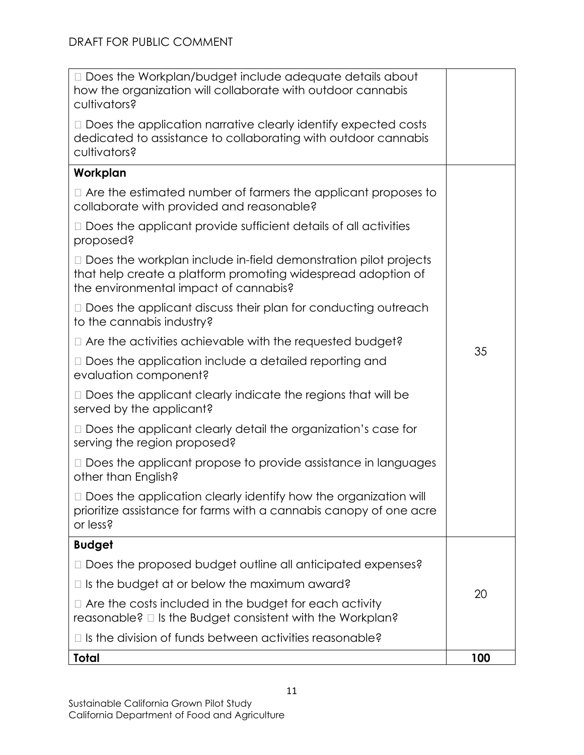| □ Does the Workplan/budget include adequate details about<br>how the organization will collaborate with outdoor cannabis<br>cultivators?                                        |     |  |
|---------------------------------------------------------------------------------------------------------------------------------------------------------------------------------|-----|--|
| $\Box$ Does the application narrative clearly identify expected costs<br>dedicated to assistance to collaborating with outdoor cannabis<br>cultivators?                         |     |  |
| Workplan                                                                                                                                                                        |     |  |
| $\Box$ Are the estimated number of farmers the applicant proposes to<br>collaborate with provided and reasonable?                                                               |     |  |
| $\Box$ Does the applicant provide sufficient details of all activities<br>proposed?                                                                                             |     |  |
| $\Box$ Does the workplan include in-field demonstration pilot projects<br>that help create a platform promoting widespread adoption of<br>the environmental impact of cannabis? |     |  |
| $\Box$ Does the applicant discuss their plan for conducting outreach<br>to the cannabis industry?                                                                               |     |  |
| □ Are the activities achievable with the requested budget?                                                                                                                      | 35  |  |
| $\Box$ Does the application include a detailed reporting and<br>evaluation component?                                                                                           |     |  |
| $\Box$ Does the applicant clearly indicate the regions that will be<br>served by the applicant?                                                                                 |     |  |
| □ Does the applicant clearly detail the organization's case for<br>serving the region proposed?                                                                                 |     |  |
| $\Box$ Does the applicant propose to provide assistance in languages<br>other than English?                                                                                     |     |  |
| □ Does the application clearly identify how the organization will<br>prioritize assistance for farms with a cannabis canopy of one acre<br>or less?                             |     |  |
| <b>Budget</b>                                                                                                                                                                   |     |  |
| □ Does the proposed budget outline all anticipated expenses?                                                                                                                    | 20  |  |
| Is the budget at or below the maximum award?<br>$\Box$                                                                                                                          |     |  |
| Are the costs included in the budget for each activity<br>reasonable? $\square$ is the Budget consistent with the Workplan?                                                     |     |  |
| Is the division of funds between activities reasonable?                                                                                                                         |     |  |
| Total                                                                                                                                                                           | 100 |  |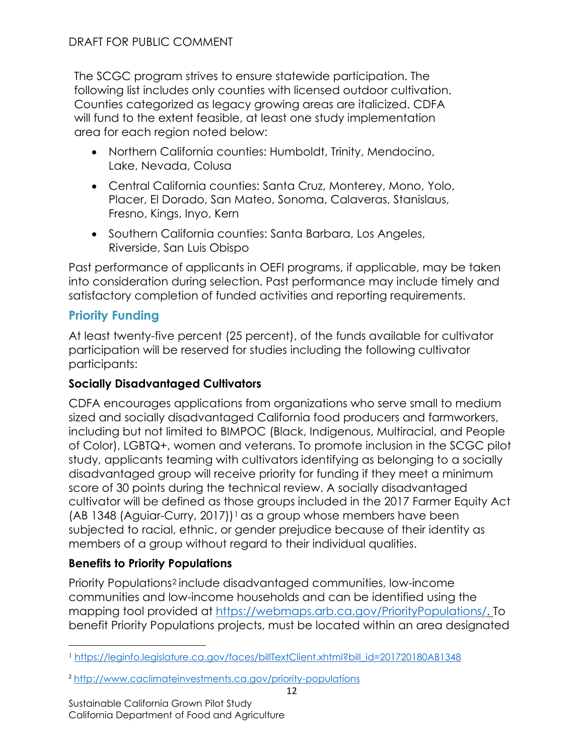The SCGC program strives to ensure statewide participation. The following list includes only counties with licensed outdoor cultivation. Counties categorized as legacy growing areas are italicized. CDFA will fund to the extent feasible, at least one study implementation area for each region noted below:

- Northern California counties: Humboldt, Trinity, Mendocino, Lake, Nevada, Colusa
- Central California counties: Santa Cruz, Monterey, Mono, Yolo, Placer, El Dorado, San Mateo, Sonoma, Calaveras, Stanislaus, Fresno, Kings, Inyo, Kern
- Southern California counties: Santa Barbara, Los Angeles, Riverside, San Luis Obispo

Past performance of applicants in OEFI programs, if applicable, may be taken into consideration during selection. Past performance may include timely and satisfactory completion of funded activities and reporting requirements.

# <span id="page-11-0"></span>**Priority Funding**

At least twenty-five percent (25 percent), of the funds available for cultivator participation will be reserved for studies including the following cultivator participants:

### **Socially Disadvantaged Cultivators**

 subjected to racial, ethnic, or gender prejudice because of their identity as CDFA encourages applications from organizations who serve small to medium sized and socially disadvantaged California food producers and farmworkers, including but not limited to BIMPOC (Black, Indigenous, Multiracial, and People of Color), LGBTQ+, women and veterans. To promote inclusion in the SCGC pilot study, applicants teaming with cultivators identifying as belonging to a socially disadvantaged group will receive priority for funding if they meet a minimum score of 30 points during the technical review. A socially disadvantaged cultivator will be defined as those groups included in the 2017 Farmer Equity Act (AB [1](#page-11-1)348 (Aguiar-Curry, 2017))<sup>1</sup> as a group whose members have been members of a group without regard to their individual qualities.

### **Benefits to Priority Populations**

Priority Populations[2](#page-11-2) include disadvantaged communities, low-income communities and low-income households and can be identified using the mapping tool provided at [https://webmaps.arb.ca.gov/PriorityPopulations/.](https://webmaps.arb.ca.gov/PriorityPopulations/) To benefit Priority Populations projects, must be located within an area designated

<span id="page-11-1"></span>1 [https://leginfo.legislature.ca.gov/faces/billTextClient.xhtml?bill\\_id=201720180AB1348](https://leginfo.legislature.ca.gov/faces/billTextClient.xhtml?bill_id=201720180AB1348) 

<span id="page-11-2"></span><sup>2</sup><http://www.caclimateinvestments.ca.gov/priority-populations>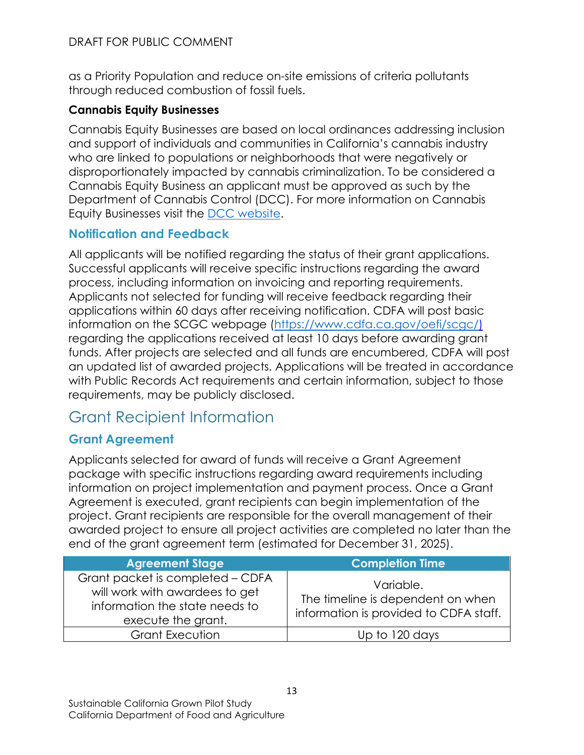as a Priority Population and reduce on-site emissions of criteria pollutants through reduced combustion of fossil fuels.

# **Cannabis Equity Businesses**

 Department of Cannabis Control (DCC). For more information on Cannabis Cannabis Equity Businesses are based on local ordinances addressing inclusion and support of individuals and communities in California's cannabis industry who are linked to populations or neighborhoods that were negatively or disproportionately impacted by cannabis criminalization. To be considered a Cannabis Equity Business an applicant must be approved as such by the Equity Businesses visit the [DCC website.](https://cannabis.ca.gov/)

# <span id="page-12-0"></span>**Notification and Feedback**

All applicants will be notified regarding the status of their grant applications. Successful applicants will receive specific instructions regarding the award process, including information on invoicing and reporting requirements. Applicants not selected for funding will receive feedback regarding their applications within 60 days after receiving notification. CDFA will post basic information on the SCGC webpage [\(https://www.cdfa.ca.gov/oefi/scgc/\)](https://www.cdfa.ca.gov/oefi/scgc/) regarding the applications received at least 10 days before awarding grant funds. After projects are selected and all funds are encumbered, CDFA will post an updated list of awarded projects. Applications will be treated in accordance with Public Records Act requirements and certain information, subject to those requirements, may be publicly disclosed.

# <span id="page-12-1"></span>Grant Recipient Information

# <span id="page-12-2"></span>**Grant Agreement**

Applicants selected for award of funds will receive a Grant Agreement package with specific instructions regarding award requirements including information on project implementation and payment process. Once a Grant Agreement is executed, grant recipients can begin implementation of the project. Grant recipients are responsible for the overall management of their awarded project to ensure all project activities are completed no later than the end of the grant agreement term (estimated for December 31, 2025).

| <b>Agreement Stage</b>                                                                                                     | <b>Completion Time</b>                                                                   |
|----------------------------------------------------------------------------------------------------------------------------|------------------------------------------------------------------------------------------|
| Grant packet is completed - CDFA<br>will work with awardees to get<br>information the state needs to<br>execute the grant. | Variable.<br>The timeline is dependent on when<br>information is provided to CDFA staff. |
| <b>Grant Execution</b>                                                                                                     | Up to 120 days                                                                           |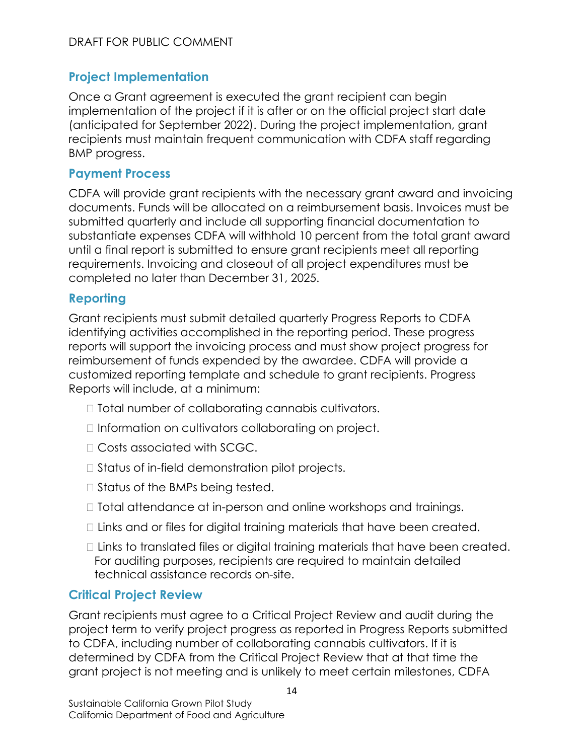### <span id="page-13-0"></span>**Project Implementation**

 recipients must maintain frequent communication with CDFA staff regarding Once a Grant agreement is executed the grant recipient can begin implementation of the project if it is after or on the official project start date (anticipated for September 2022). During the project implementation, grant BMP progress.

#### <span id="page-13-1"></span>**Payment Process**

 completed no later than December 31, 2025. CDFA will provide grant recipients with the necessary grant award and invoicing documents. Funds will be allocated on a reimbursement basis. Invoices must be submitted quarterly and include all supporting financial documentation to substantiate expenses CDFA will withhold 10 percent from the total grant award until a final report is submitted to ensure grant recipients meet all reporting requirements. Invoicing and closeout of all project expenditures must be

### <span id="page-13-2"></span>**Reporting**

Grant recipients must submit detailed quarterly Progress Reports to CDFA identifying activities accomplished in the reporting period. These progress reports will support the invoicing process and must show project progress for reimbursement of funds expended by the awardee. CDFA will provide a customized reporting template and schedule to grant recipients. Progress Reports will include, at a minimum:

- □ Total number of collaborating cannabis cultivators.
- $\Box$  Information on cultivators collaborating on project.
- Costs associated with SCGC.
- $\Box$  Status of in-field demonstration pilot projects.
- □ Status of the BMPs being tested.
- $\Box$  Total attendance at in-person and online workshops and trainings.
- $\Box$  Links and or files for digital training materials that have been created.
- □ Links to translated files or digital training materials that have been created. For auditing purposes, recipients are required to maintain detailed technical assistance records on-site.

### <span id="page-13-3"></span>**Critical Project Review**

 Grant recipients must agree to a Critical Project Review and audit during the to CDFA, including number of collaborating cannabis cultivators. If it is determined by CDFA from the Critical Project Review that at that time the project term to verify project progress as reported in Progress Reports submitted grant project is not meeting and is unlikely to meet certain milestones, CDFA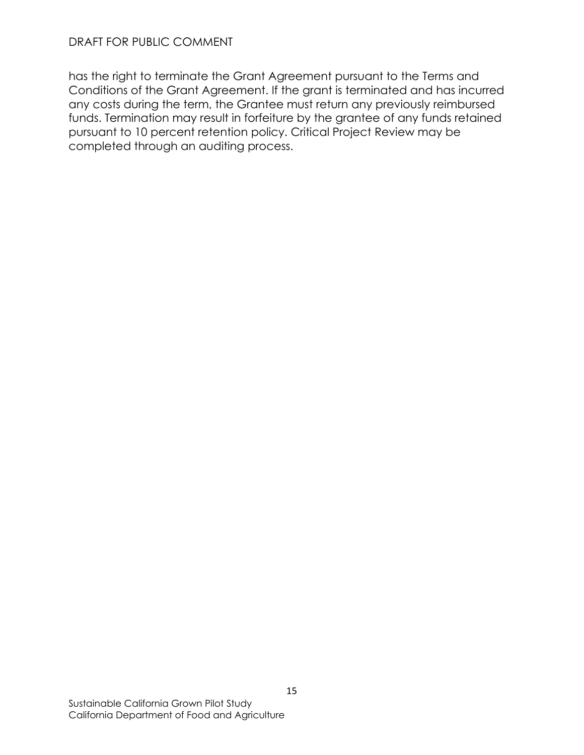has the right to terminate the Grant Agreement pursuant to the Terms and Conditions of the Grant Agreement. If the grant is terminated and has incurred any costs during the term, the Grantee must return any previously reimbursed funds. Termination may result in forfeiture by the grantee of any funds retained pursuant to 10 percent retention policy. Critical Project Review may be completed through an auditing process.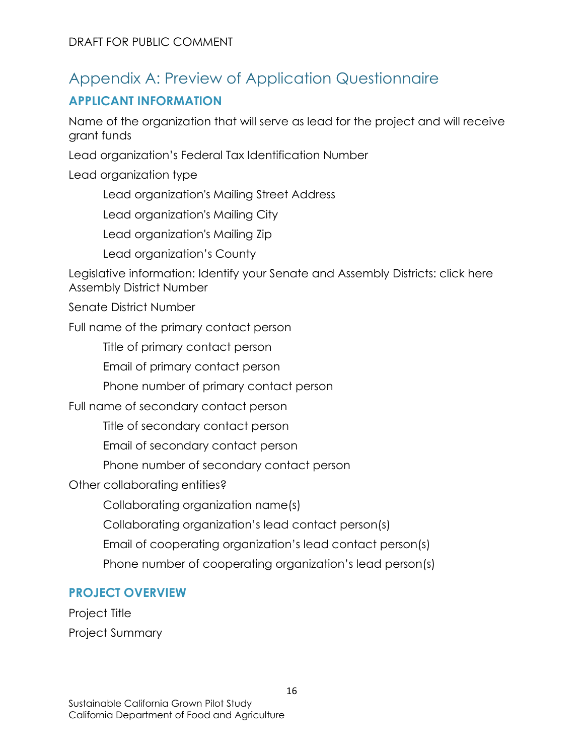# <span id="page-15-0"></span>Appendix A: Preview of Application Questionnaire

# **APPLICANT INFORMATION**

Name of the organization that will serve as lead for the project and will receive grant funds

Lead organization's Federal Tax Identification Number

Lead organization type

Lead organization's Mailing Street Address

Lead organization's Mailing City<br>Lead organization's Mailing Zip

Lead organization's County

Legislative information: Identify your Senate and Assembly Districts: click here Assembly District Number

Senate District Number

Full name of the primary contact person

Title of primary contact person

Email of primary contact person

Phone number of primary contact person

Full name of secondary contact person

Title of secondary contact person

Email of secondary contact person

Phone number of secondary contact person

Other collaborating entities?

Collaborating organization name(s)

Collaborating organization's lead contact person(s)

Email of cooperating organization's lead contact person(s)

Phone number of cooperating organization's lead person(s)

### **PROJECT OVERVIEW**

Project Title Project Summary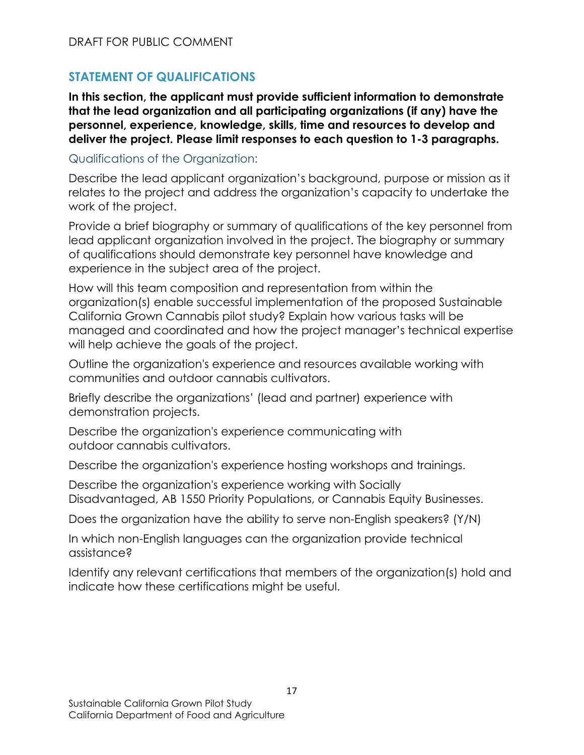# **STATEMENT OF QUALIFICATIONS**

**In this section, the applicant must provide sufficient information to demonstrate that the lead organization and all participating organizations (if any) have the personnel, experience, knowledge, skills, time and resources to develop and deliver the project. Please limit responses to each question to 1-3 paragraphs.** 

### Qualifications of the Organization:

Describe the lead applicant organization's background, purpose or mission as it relates to the project and address the organization's capacity to undertake the work of the project.

Provide a brief biography or summary of qualifications of the key personnel from lead applicant organization involved in the project. The biography or summary of qualifications should demonstrate key personnel have knowledge and experience in the subject area of the project.

 California Grown Cannabis pilot study? Explain how various tasks will be How will this team composition and representation from within the organization(s) enable successful implementation of the proposed Sustainable managed and coordinated and how the project manager's technical expertise will help achieve the goals of the project.

Outline the organization's experience and resources available working with communities and outdoor cannabis cultivators.

Briefly describe the organizations' (lead and partner) experience with demonstration projects.

Describe the organization's experience communicating with outdoor cannabis cultivators.

Describe the organization's experience hosting workshops and trainings.

Describe the organization's experience working with Socially Disadvantaged, AB 1550 Priority Populations, or Cannabis Equity Businesses.

Does the organization have the ability to serve non-English speakers? (Y/N)

assistance? In which non-English languages can the organization provide technical

Identify any relevant certifications that members of the organization(s) hold and indicate how these certifications might be useful.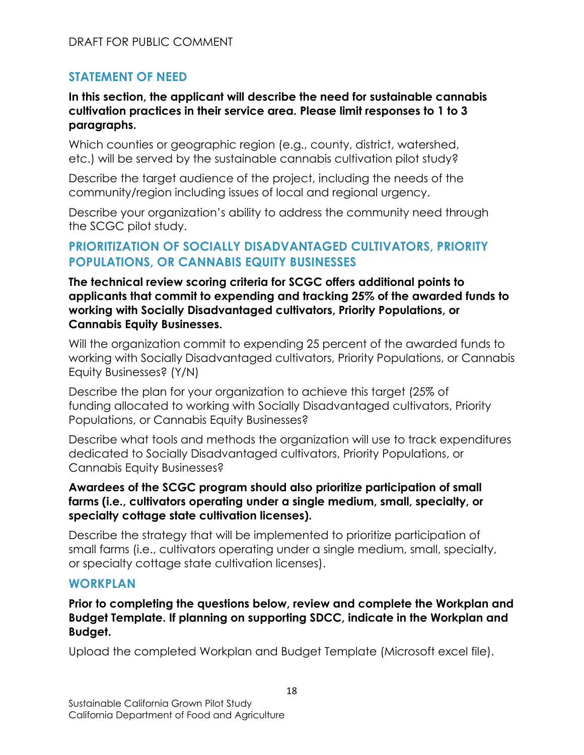### **STATEMENT OF NEED**

### **cultivation practices in their service area. Please limit responses to 1 to 3 In this section, the applicant will describe the need for sustainable cannabis paragraphs.**

Which counties or geographic region (e.g., county, district, watershed, etc.) will be served by the sustainable cannabis cultivation pilot study?

Describe the target audience of the project, including the needs of the community/region including issues of local and regional urgency.

Describe your organization's ability to address the community need through the SCGC pilot study.

### **PRIORITIZATION OF SOCIALLY DISADVANTAGED CULTIVATORS, PRIORITY POPULATIONS, OR CANNABIS EQUITY BUSINESSES**

### **Cannabis Equity Businesses. The technical review scoring criteria for SCGC offers additional points to applicants that commit to expending and tracking 25% of the awarded funds to working with Socially Disadvantaged cultivators, Priority Populations, or**

 Will the organization commit to expending 25 percent of the awarded funds to working with Socially Disadvantaged cultivators, Priority Populations, or Cannabis Equity Businesses? (Y/N)

Populations, or Cannabis Equity Businesses? Describe the plan for your organization to achieve this target (25% of funding allocated to working with Socially Disadvantaged cultivators, Priority

 dedicated to Socially Disadvantaged cultivators, Priority Populations, or Describe what tools and methods the organization will use to track expenditures Cannabis Equity Businesses?

### **farms (i.e., cultivators operating under a single medium, small, specialty, or Awardees of the SCGC program should also prioritize participation of small specialty cottage state cultivation licenses).**

Describe the strategy that will be implemented to prioritize participation of small farms (i.e., cultivators operating under a single medium, small, specialty, or specialty cottage state cultivation licenses).

### **WORKPLAN**

**Prior to completing the questions below, review and complete the Workplan and Budget Template. If planning on supporting SDCC, indicate in the Workplan and Budget.** 

Upload the completed Workplan and Budget Template (Microsoft excel file).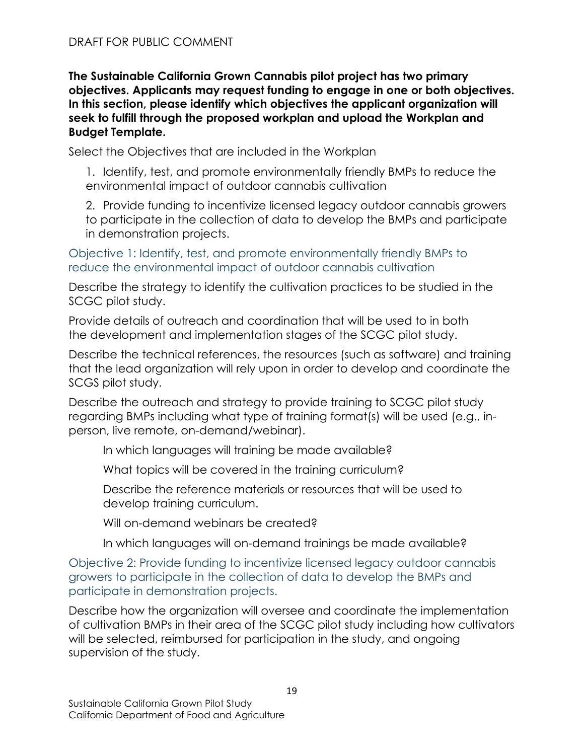**The Sustainable California Grown Cannabis pilot project has two primary objectives. Applicants may request funding to engage in one or both objectives. In this section, please identify which objectives the applicant organization will seek to fulfill through the proposed workplan and upload the Workplan and Budget Template.** 

Select the Objectives that are included in the Workplan

1. Identify, test, and promote environmentally friendly BMPs to reduce the environmental impact of outdoor cannabis cultivation

2. Provide funding to incentivize licensed legacy outdoor cannabis growers to participate in the collection of data to develop the BMPs and participate in demonstration projects.

Objective 1: Identify, test, and promote environmentally friendly BMPs to reduce the environmental impact of outdoor cannabis cultivation

 Describe the strategy to identify the cultivation practices to be studied in the SCGC pilot study.

 the development and implementation stages of the SCGC pilot study. Provide details of outreach and coordination that will be used to in both

 that the lead organization will rely upon in order to develop and coordinate the SCGS pilot study. Describe the technical references, the resources (such as software) and training

person, live remote, on-demand/webinar). Describe the outreach and strategy to provide training to SCGC pilot study regarding BMPs including what type of training format(s) will be used (e.g., in-

In which languages will training be made available?

What topics will be covered in the training curriculum?

Describe the reference materials or resources that will be used to develop training curriculum.

Will on-demand webinars be created?

In which languages will on-demand trainings be made available?

 Objective 2: Provide funding to incentivize licensed legacy outdoor cannabis participate in demonstration projects. growers to participate in the collection of data to develop the BMPs and

 of cultivation BMPs in their area of the SCGC pilot study including how cultivators supervision of the study. Describe how the organization will oversee and coordinate the implementation will be selected, reimbursed for participation in the study, and ongoing